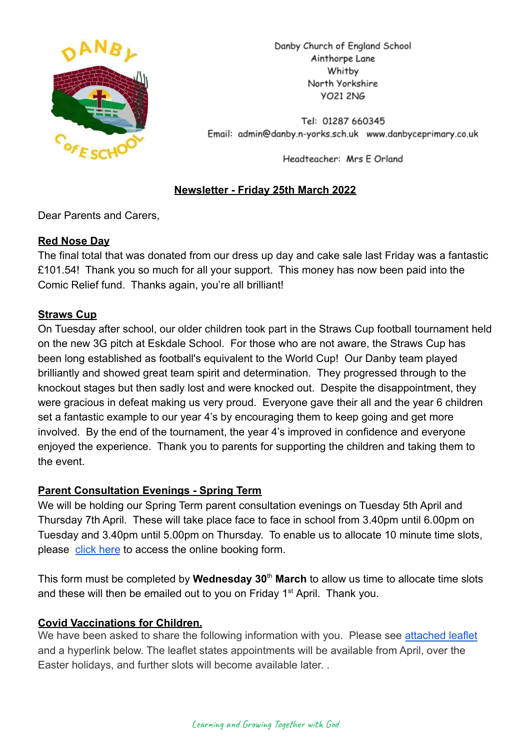

Danby Church of England School Ainthorpe Lane Whitby North Yorkshire **VO21 2NG** 

Tel: 01287 660345 Email: admin@danby.n-yorks.sch.uk www.danbyceprimary.co.uk

Headteacher: Mrs E Orland

# **Newsletter - Friday 25th March 2022**

Dear Parents and Carers,

## **Red Nose Day**

The final total that was donated from our dress up day and cake sale last Friday was a fantastic £101.54! Thank you so much for all your support. This money has now been paid into the Comic Relief fund. Thanks again, you're all brilliant!

## **Straws Cup**

On Tuesday after school, our older children took part in the Straws Cup football tournament held on the new 3G pitch at Eskdale School. For those who are not aware, the Straws Cup has been long established as football's equivalent to the World Cup! Our Danby team played brilliantly and showed great team spirit and determination. They progressed through to the knockout stages but then sadly lost and were knocked out. Despite the disappointment, they were gracious in defeat making us very proud. Everyone gave their all and the year 6 children set a fantastic example to our year 4's by encouraging them to keep going and get more involved. By the end of the tournament, the year 4's improved in confidence and everyone enjoyed the experience. Thank you to parents for supporting the children and taking them to the event.

## **Parent Consultation Evenings - Spring Term**

We will be holding our Spring Term parent consultation evenings on Tuesday 5th April and Thursday 7th April. These will take place face to face in school from 3.40pm until 6.00pm on Tuesday and 3.40pm until 5.00pm on Thursday. To enable us to allocate 10 minute time slots, please [click here](https://forms.gle/ojcBPgJL2n8XfsE48) to access the online booking form.

This form must be completed by **Wednesday 30**th **March** to allow us time to allocate time slots and these will then be emailed out to you on Friday  $1<sup>st</sup>$  April. Thank you.

## **Covid Vaccinations for Children.**

We have been asked to share the following information with you. Please see [attached leaflet](https://r1.ddlnk.net/4BPJ-1A9F0-34L1BO-149252-1/c.aspx) and a hyperlink below. The leaflet states appointments will be available from April, over the Easter holidays, and further slots will become available later. .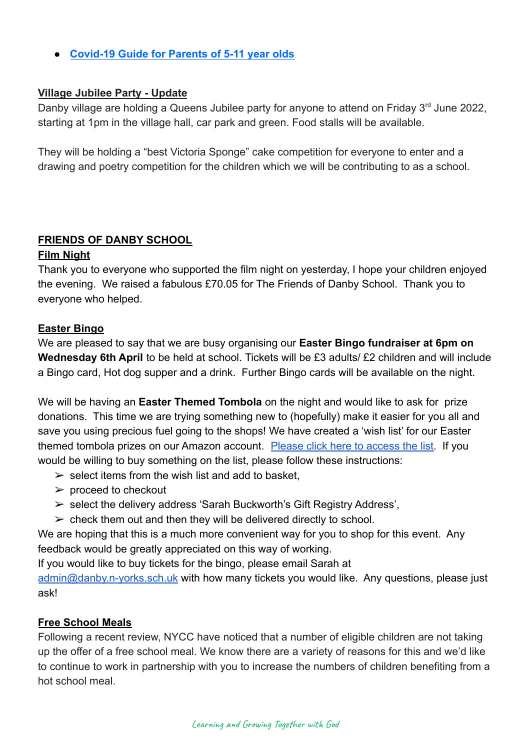● **[Covid-19 Guide for Parents of 5-11 year olds](https://r1.ddlnk.net/4BPJ-1A9F0-34L1BO-149253-1/c.aspx)**

#### **Village Jubilee Party - Update**

Danby village are holding a Queens Jubilee party for anyone to attend on Friday 3<sup>rd</sup> June 2022, starting at 1pm in the village hall, car park and green. Food stalls will be available.

They will be holding a "best Victoria Sponge" cake competition for everyone to enter and a drawing and poetry competition for the children which we will be contributing to as a school.

## **FRIENDS OF DANBY SCHOOL**

#### **Film Night**

Thank you to everyone who supported the film night on yesterday, I hope your children enjoyed the evening. We raised a fabulous £70.05 for The Friends of Danby School. Thank you to everyone who helped.

#### **Easter Bingo**

We are pleased to say that we are busy organising our **Easter Bingo fundraiser at 6pm on Wednesday 6th April** to be held at school. Tickets will be £3 adults/ £2 children and will include a Bingo card, Hot dog supper and a drink. Further Bingo cards will be available on the night.

We will be having an **Easter Themed Tombola** on the night and would like to ask for prize donations. This time we are trying something new to (hopefully) make it easier for you all and save you using precious fuel going to the shops! We have created a 'wish list' for our Easter themed tombola prizes on our Amazon account. Please [click here to access the list.](https://amzn.eu/1G5bIAA) If you would be willing to buy something on the list, please follow these instructions:

- $\ge$  select items from the wish list and add to basket.
- $\triangleright$  proceed to checkout
- $\triangleright$  select the delivery address 'Sarah Buckworth's Gift Registry Address',
- $\triangleright$  check them out and then they will be delivered directly to school.

We are hoping that this is a much more convenient way for you to shop for this event. Any feedback would be greatly appreciated on this way of working.

If you would like to buy tickets for the bingo, please email Sarah at

[admin@danby.n-yorks.sch.uk](mailto:admin@danby.n-yorks.sch.uk) with how many tickets you would like. Any questions, please just ask!

## **Free School Meals**

Following a recent review, NYCC have noticed that a number of eligible children are not taking up the offer of a free school meal. We know there are a variety of reasons for this and we'd like to continue to work in partnership with you to increase the numbers of children benefiting from a hot school meal.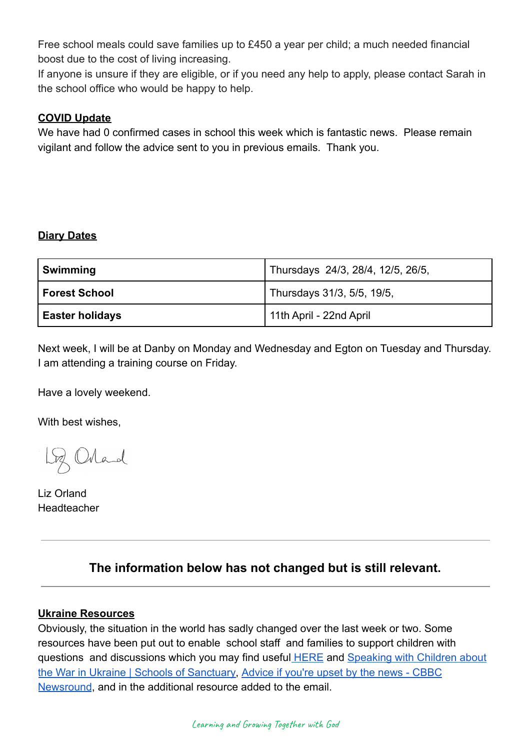Free school meals could save families up to £450 a year per child; a much needed financial boost due to the cost of living increasing.

If anyone is unsure if they are eligible, or if you need any help to apply, please contact Sarah in the school office who would be happy to help.

# **COVID Update**

We have had 0 confirmed cases in school this week which is fantastic news. Please remain vigilant and follow the advice sent to you in previous emails. Thank you.

# **Diary Dates**

| Swimming               | Thursdays 24/3, 28/4, 12/5, 26/5, |
|------------------------|-----------------------------------|
| Forest School          | Thursdays 31/3, 5/5, 19/5,        |
| <b>Easter holidays</b> | 11th April - 22nd April           |

Next week, I will be at Danby on Monday and Wednesday and Egton on Tuesday and Thursday. I am attending a training course on Friday.

Have a lovely weekend.

With best wishes,

Loz Orland

Liz Orland Headteacher

# **The information below has not changed but is still relevant.**

## **Ukraine Resources**

Obviously, the situation in the world has sadly changed over the last week or two. Some resources have been put out to enable school staff and families to support children with questions and discussions which you may find useful [HERE](https://educationhub.blog.gov.uk/2022/02/25/help-for-teachers-and-families-to-talk-to-pupils-about-russias-invasion-of-ukraine-and-how-to-help-them-avoid-misinformation/) and [Speaking with Children about](https://schools.cityofsanctuary.org/2022/02/28/speaking-with-children-about-the-war-in-ukraine) [the War in Ukraine | Schools of Sanctuary,](https://schools.cityofsanctuary.org/2022/02/28/speaking-with-children-about-the-war-in-ukraine) Advice [if you're upset by the news - CBBC](https://www.bbc.co.uk/newsround/13865002) [Newsround](https://www.bbc.co.uk/newsround/13865002), and in the additional resource added to the email.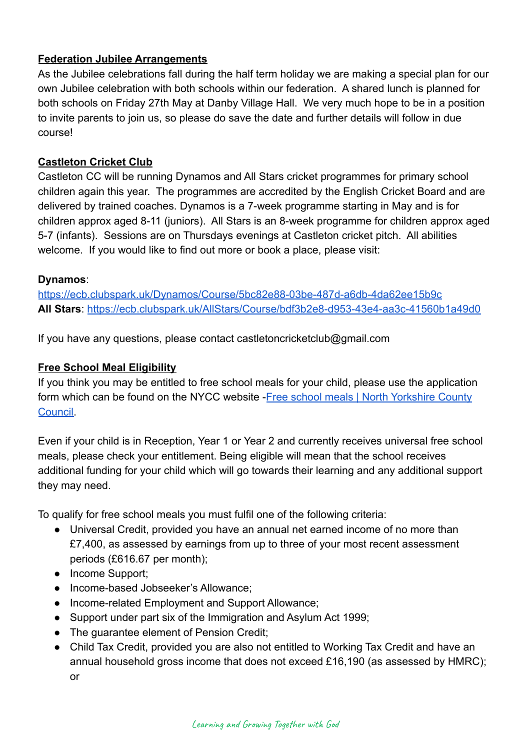# **Federation Jubilee Arrangements**

As the Jubilee celebrations fall during the half term holiday we are making a special plan for our own Jubilee celebration with both schools within our federation. A shared lunch is planned for both schools on Friday 27th May at Danby Village Hall. We very much hope to be in a position to invite parents to join us, so please do save the date and further details will follow in due course!

# **Castleton Cricket Club**

Castleton CC will be running Dynamos and All Stars cricket programmes for primary school children again this year. The programmes are accredited by the English Cricket Board and are delivered by trained coaches. Dynamos is a 7-week programme starting in May and is for children approx aged 8-11 (juniors). All Stars is an 8-week programme for children approx aged 5-7 (infants). Sessions are on Thursdays evenings at Castleton cricket pitch. All abilities welcome. If you would like to find out more or book a place, please visit:

## **Dynamos**:

<https://ecb.clubspark.uk/Dynamos/Course/5bc82e88-03be-487d-a6db-4da62ee15b9c> **All Stars**: <https://ecb.clubspark.uk/AllStars/Course/bdf3b2e8-d953-43e4-aa3c-41560b1a49d0>

If you have any questions, please contact castletoncricketclub@gmail.com

## **Free School Meal Eligibility**

If you think you may be entitled to free school meals for your child, please use the application form which can be found on the NYCC website -Free [school meals | North Yorkshire County](https://www.northyorks.gov.uk/free-school-meals) [Council.](https://www.northyorks.gov.uk/free-school-meals)

Even if your child is in Reception, Year 1 or Year 2 and currently receives universal free school meals, please check your entitlement. Being eligible will mean that the school receives additional funding for your child which will go towards their learning and any additional support they may need.

To qualify for free school meals you must fulfil one of the following criteria:

- Universal Credit, provided you have an annual net earned income of no more than £7,400, as assessed by earnings from up to three of your most recent assessment periods (£616.67 per month);
- Income Support;
- Income-based Jobseeker's Allowance;
- Income-related Employment and Support Allowance;
- Support under part six of the Immigration and Asylum Act 1999;
- The guarantee element of Pension Credit;
- Child Tax Credit, provided you are also not entitled to Working Tax Credit and have an annual household gross income that does not exceed £16,190 (as assessed by HMRC); or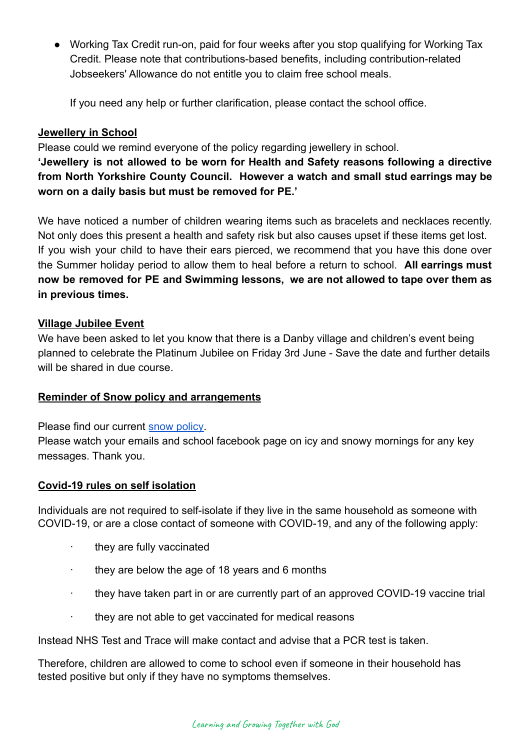● Working Tax Credit run-on, paid for four weeks after you stop qualifying for Working Tax Credit. Please note that contributions-based benefits, including contribution-related Jobseekers' Allowance do not entitle you to claim free school meals.

If you need any help or further clarification, please contact the school office.

# **Jewellery in School**

Please could we remind everyone of the policy regarding jewellery in school.

**'Jewellery is not allowed to be worn for Health and Safety reasons following a directive from North Yorkshire County Council. However a watch and small stud earrings may be worn on a daily basis but must be removed for PE.'**

We have noticed a number of children wearing items such as bracelets and necklaces recently. Not only does this present a health and safety risk but also causes upset if these items get lost. If you wish your child to have their ears pierced, we recommend that you have this done over the Summer holiday period to allow them to heal before a return to school. **All earrings must now be removed for PE and Swimming lessons, we are not allowed to tape over them as in previous times.**

## **Village Jubilee Event**

We have been asked to let you know that there is a Danby village and children's event being planned to celebrate the Platinum Jubilee on Friday 3rd June - Save the date and further details will be shared in due course.

## **Reminder of Snow policy and arrangements**

Please find our current [snow policy.](https://drive.google.com/file/d/1PQF-KS64Fiqqa-jJlT9mfUV8MedCZC4v/view?usp=sharing)

Please watch your emails and school facebook page on icy and snowy mornings for any key messages. Thank you.

## **Covid-19 rules on self isolation**

Individuals are not required to self-isolate if they live in the same household as someone with COVID-19, or are a close contact of someone with COVID-19, and any of the following apply:

- · they are fully vaccinated
- they are below the age of 18 years and 6 months
- · they have taken part in or are currently part of an approved COVID-19 vaccine trial
- they are not able to get vaccinated for medical reasons

Instead NHS Test and Trace will make contact and advise that a PCR test is taken.

Therefore, children are allowed to come to school even if someone in their household has tested positive but only if they have no symptoms themselves.